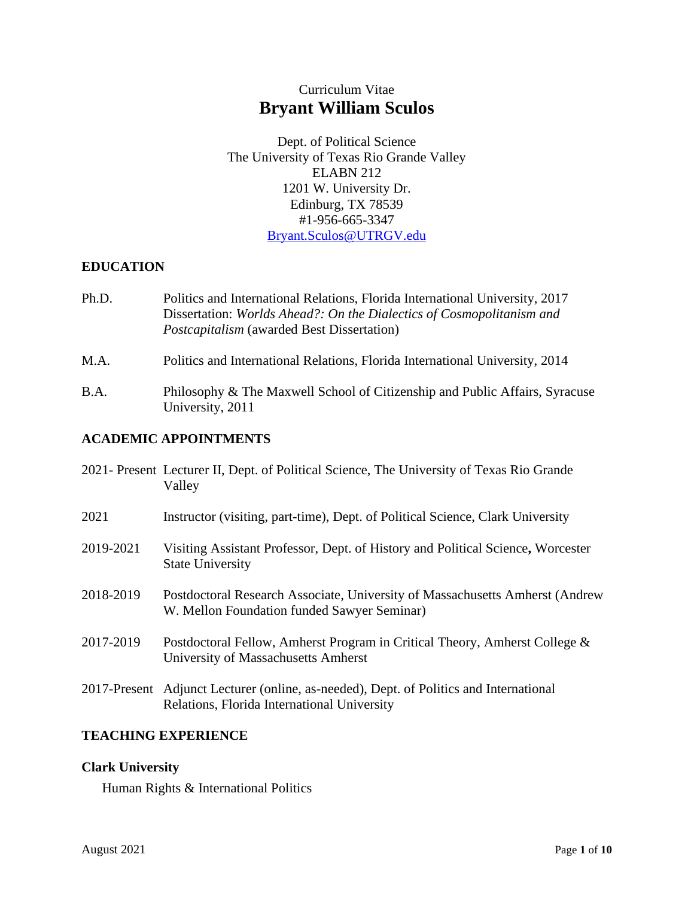# Curriculum Vitae **Bryant William Sculos**

Dept. of Political Science The University of Texas Rio Grande Valley ELABN 212 1201 W. University Dr. Edinburg, TX 78539 #1-956-665-3347 [Bryant.Sculos@UTRGV.edu](mailto:Bryant.Sculos@UTRGV.edu)

# **EDUCATION**

- Ph.D. Politics and International Relations, Florida International University, 2017 Dissertation: *Worlds Ahead?: On the Dialectics of Cosmopolitanism and Postcapitalism* (awarded Best Dissertation)
- M.A. Politics and International Relations, Florida International University, 2014
- B.A. Philosophy & The Maxwell School of Citizenship and Public Affairs, Syracuse University, 2011

# **ACADEMIC APPOINTMENTS**

|           | 2021- Present Lecturer II, Dept. of Political Science, The University of Texas Rio Grande<br>Valley                                   |
|-----------|---------------------------------------------------------------------------------------------------------------------------------------|
| 2021      | Instructor (visiting, part-time), Dept. of Political Science, Clark University                                                        |
| 2019-2021 | Visiting Assistant Professor, Dept. of History and Political Science, Worcester<br><b>State University</b>                            |
| 2018-2019 | Postdoctoral Research Associate, University of Massachusetts Amherst (Andrew<br>W. Mellon Foundation funded Sawyer Seminar)           |
| 2017-2019 | Postdoctoral Fellow, Amherst Program in Critical Theory, Amherst College &<br>University of Massachusetts Amherst                     |
|           | 2017-Present Adjunct Lecturer (online, as-needed), Dept. of Politics and International<br>Relations, Florida International University |

# **TEACHING EXPERIENCE**

# **Clark University**

Human Rights & International Politics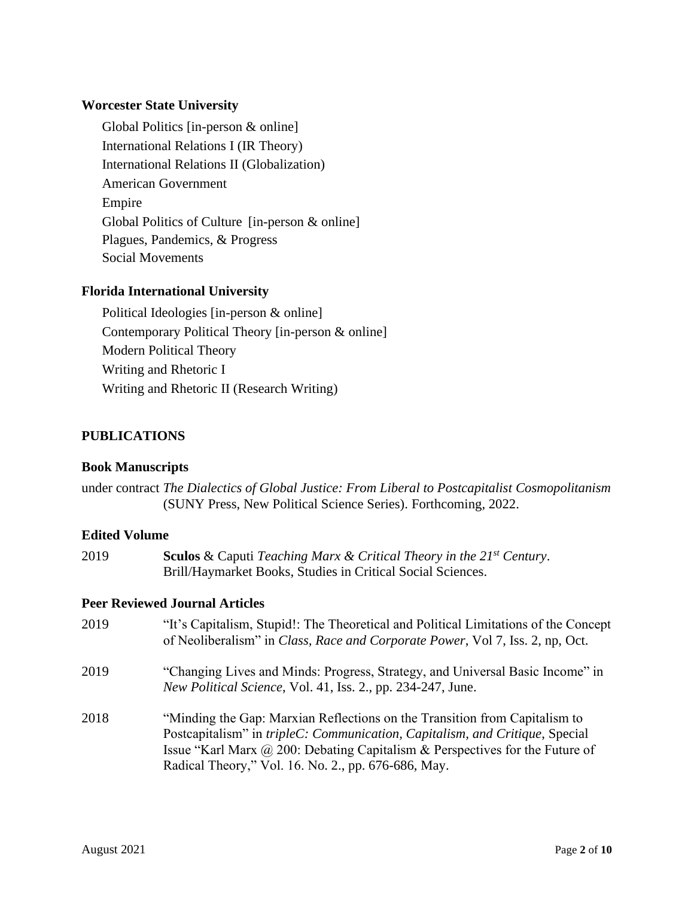# **Worcester State University**

Global Politics [in-person & online] International Relations I (IR Theory) International Relations II (Globalization) American Government Empire Global Politics of Culture [in-person & online] Plagues, Pandemics, & Progress Social Movements

# **Florida International University**

Political Ideologies [in-person & online] Contemporary Political Theory [in-person & online] Modern Political Theory Writing and Rhetoric I Writing and Rhetoric II (Research Writing)

# **PUBLICATIONS**

# **Book Manuscripts**

under contract *The Dialectics of Global Justice: From Liberal to Postcapitalist Cosmopolitanism* (SUNY Press, New Political Science Series). Forthcoming, 2022.

# **Edited Volume**

| 2019 | <b>Sculos</b> & Caputi Teaching Marx & Critical Theory in the $21^{st}$ Century. |
|------|----------------------------------------------------------------------------------|
|      | Brill/Haymarket Books, Studies in Critical Social Sciences.                      |

# **Peer Reviewed Journal Articles**

- 2019 "It's Capitalism, Stupid!: The Theoretical and Political Limitations of the Concept of Neoliberalism" in *Class, Race and Corporate Power*, Vol 7, Iss. 2, np, Oct. 2019 "Changing Lives and Minds: Progress, Strategy, and Universal Basic Income" in *New Political Science*, Vol. 41, Iss. 2., pp. 234-247, June.
- 2018 "Minding the Gap: Marxian Reflections on the Transition from Capitalism to Postcapitalism" in *tripleC: Communication, Capitalism, and Critique*, Special Issue "Karl Marx @ 200: Debating Capitalism & Perspectives for the Future of Radical Theory," Vol. 16. No. 2., pp. 676-686, May.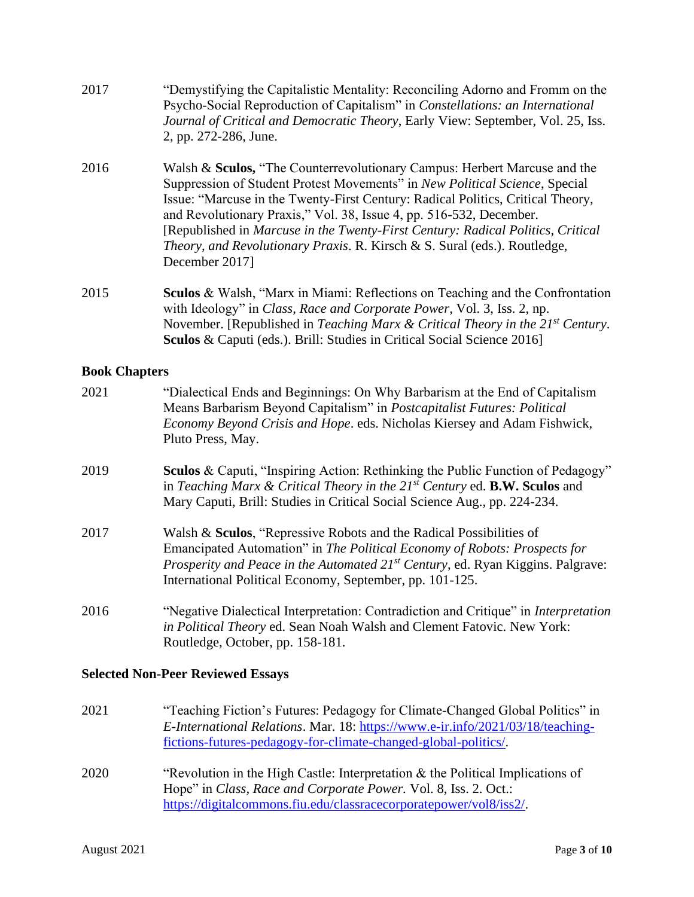- 2017 "Demystifying the Capitalistic Mentality: Reconciling Adorno and Fromm on the Psycho-Social Reproduction of Capitalism" in *Constellations: an International Journal of Critical and Democratic Theory*, Early View: September, Vol. 25, Iss. 2, pp. 272-286, June.
- 2016 Walsh & **Sculos,** "The Counterrevolutionary Campus: Herbert Marcuse and the Suppression of Student Protest Movements" in *New Political Science*, Special Issue: "Marcuse in the Twenty-First Century: Radical Politics, Critical Theory, and Revolutionary Praxis," Vol. 38, Issue 4, pp. 516-532, December. [Republished in *Marcuse in the Twenty-First Century: Radical Politics, Critical Theory, and Revolutionary Praxis*. R. Kirsch & S. Sural (eds.). Routledge, December 2017]
- 2015 **Sculos** & Walsh, "Marx in Miami: Reflections on Teaching and the Confrontation with Ideology" in *Class, Race and Corporate Power*, Vol. 3, Iss. 2, np. November. [Republished in *Teaching Marx & Critical Theory in the 21st Century*. **Sculos** & Caputi (eds.). Brill: Studies in Critical Social Science 2016]

# **Book Chapters**

| 2021 | "Dialectical Ends and Beginnings: On Why Barbarism at the End of Capitalism<br>Means Barbarism Beyond Capitalism" in <i>Postcapitalist Futures: Political</i><br><i>Economy Beyond Crisis and Hope.</i> eds. Nicholas Kiersey and Adam Fishwick,<br>Pluto Press, May.                                       |
|------|-------------------------------------------------------------------------------------------------------------------------------------------------------------------------------------------------------------------------------------------------------------------------------------------------------------|
| 2019 | <b>Sculos &amp; Caputi, "Inspiring Action: Rethinking the Public Function of Pedagogy"</b><br>in Teaching Marx & Critical Theory in the $21^{st}$ Century ed. <b>B.W. Sculos</b> and<br>Mary Caputi, Brill: Studies in Critical Social Science Aug., pp. 224-234.                                           |
| 2017 | Walsh & Sculos, "Repressive Robots and the Radical Possibilities of<br>Emancipated Automation" in The Political Economy of Robots: Prospects for<br>Prosperity and Peace in the Automated 21 <sup>st</sup> Century, ed. Ryan Kiggins. Palgrave:<br>International Political Economy, September, pp. 101-125. |
| 2016 | "Negative Dialectical Interpretation: Contradiction and Critique" in <i>Interpretation</i><br>in Political Theory ed. Sean Noah Walsh and Clement Fatovic. New York:<br>Routledge, October, pp. 158-181.                                                                                                    |
|      | <b>Selected Non-Peer Reviewed Essays</b>                                                                                                                                                                                                                                                                    |

- 2021 "Teaching Fiction's Futures: Pedagogy for Climate-Changed Global Politics" in *E-International Relations*. Mar. 18: [https://www.e-ir.info/2021/03/18/teaching](https://www.e-ir.info/2021/03/18/teaching-fictions-futures-pedagogy-for-climate-changed-global-politics/)[fictions-futures-pedagogy-for-climate-changed-global-politics/.](https://www.e-ir.info/2021/03/18/teaching-fictions-futures-pedagogy-for-climate-changed-global-politics/)
- 2020 "Revolution in the High Castle: Interpretation & the Political Implications of Hope" in *Class, Race and Corporate Power.* Vol. 8, Iss. 2. Oct.: [https://digitalcommons.fiu.edu/classracecorporatepower/vol8/iss2/.](https://digitalcommons.fiu.edu/classracecorporatepower/vol8/iss2/)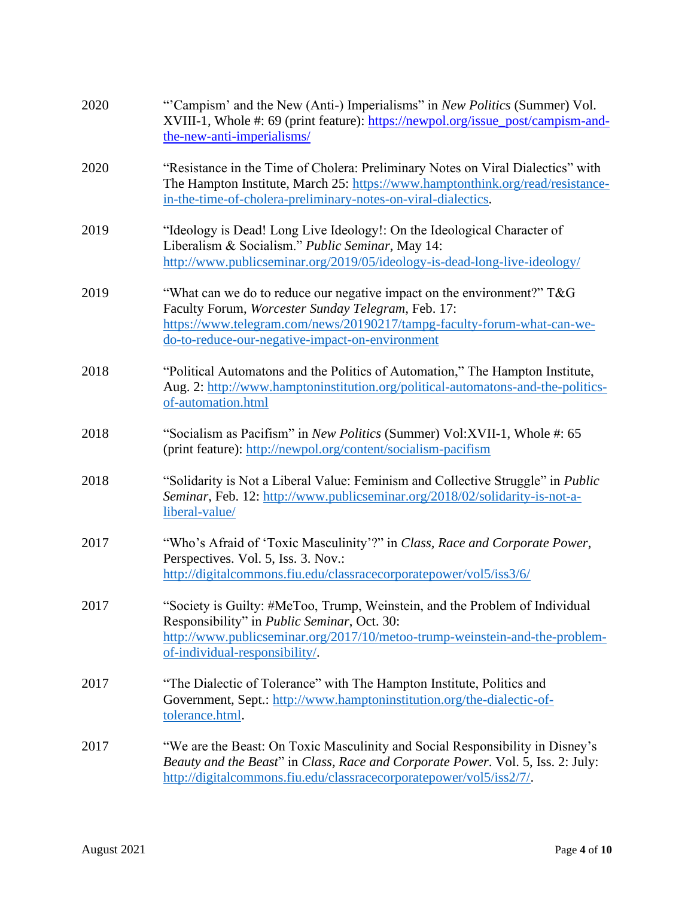| 2020 | "Campism' and the New (Anti-) Imperialisms" in New Politics (Summer) Vol.<br>XVIII-1, Whole #: 69 (print feature): https://newpol.org/issue_post/campism-and-<br>the-new-anti-imperialisms/                                                                   |
|------|---------------------------------------------------------------------------------------------------------------------------------------------------------------------------------------------------------------------------------------------------------------|
| 2020 | "Resistance in the Time of Cholera: Preliminary Notes on Viral Dialectics" with<br>The Hampton Institute, March 25: https://www.hamptonthink.org/read/resistance-<br>in-the-time-of-cholera-preliminary-notes-on-viral-dialectics.                            |
| 2019 | "Ideology is Dead! Long Live Ideology!: On the Ideological Character of<br>Liberalism & Socialism." Public Seminar, May 14:<br>http://www.publicseminar.org/2019/05/ideology-is-dead-long-live-ideology/                                                      |
| 2019 | "What can we do to reduce our negative impact on the environment?" $T\&G$<br>Faculty Forum, Worcester Sunday Telegram, Feb. 17:<br>https://www.telegram.com/news/20190217/tampg-faculty-forum-what-can-we-<br>do-to-reduce-our-negative-impact-on-environment |
| 2018 | "Political Automatons and the Politics of Automation," The Hampton Institute,<br>Aug. 2: http://www.hamptoninstitution.org/political-automatons-and-the-politics-<br>of-automation.html                                                                       |
| 2018 | "Socialism as Pacifism" in New Politics (Summer) Vol:XVII-1, Whole #: 65<br>(print feature): http://newpol.org/content/socialism-pacifism                                                                                                                     |
| 2018 | "Solidarity is Not a Liberal Value: Feminism and Collective Struggle" in <i>Public</i><br>Seminar, Feb. 12: http://www.publicseminar.org/2018/02/solidarity-is-not-a-<br>liberal-value/                                                                       |
| 2017 | "Who's Afraid of 'Toxic Masculinity'?" in Class, Race and Corporate Power,<br>Perspectives. Vol. 5, Iss. 3. Nov.:<br>http://digitalcommons.fiu.edu/classracecorporatepower/vol5/iss3/6/                                                                       |
| 2017 | "Society is Guilty: #MeToo, Trump, Weinstein, and the Problem of Individual<br>Responsibility" in <i>Public Seminar</i> , Oct. 30:<br>http://www.publicseminar.org/2017/10/metoo-trump-weinstein-and-the-problem-<br>of-individual-responsibility/.           |
| 2017 | "The Dialectic of Tolerance" with The Hampton Institute, Politics and<br>Government, Sept.: http://www.hamptoninstitution.org/the-dialectic-of-<br>tolerance.html.                                                                                            |
| 2017 | "We are the Beast: On Toxic Masculinity and Social Responsibility in Disney's<br>Beauty and the Beast" in Class, Race and Corporate Power. Vol. 5, Iss. 2: July:<br>http://digitalcommons.fiu.edu/classracecorporatepower/vol5/iss2/7/.                       |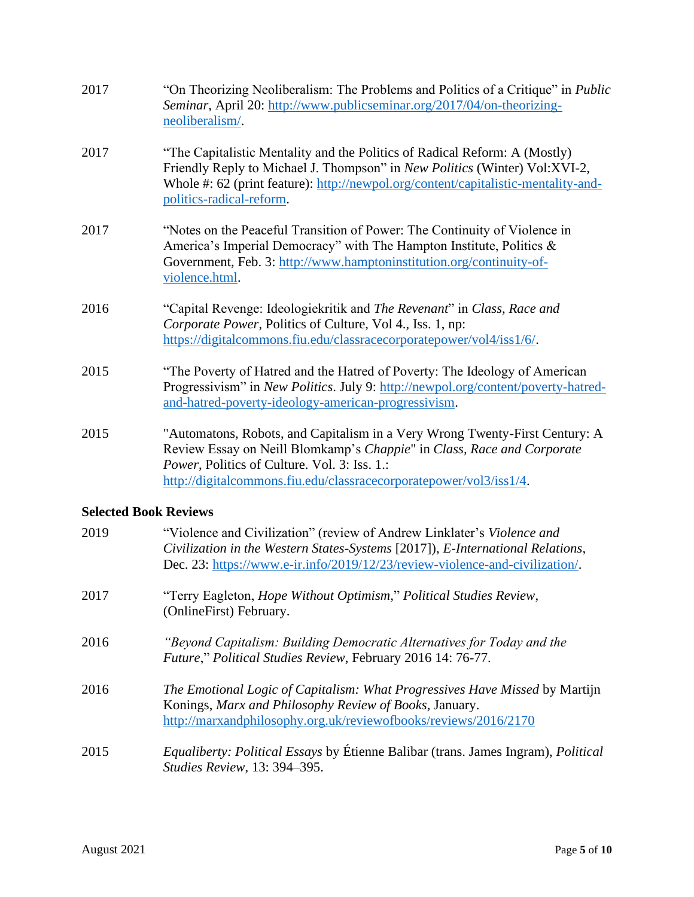| 2017                  | "On Theorizing Neoliberalism: The Problems and Politics of a Critique" in <i>Public</i><br>Seminar, April 20: http://www.publicseminar.org/2017/04/on-theorizing-<br>neoliberalism/.                                                                                        |
|-----------------------|-----------------------------------------------------------------------------------------------------------------------------------------------------------------------------------------------------------------------------------------------------------------------------|
| 2017                  | "The Capitalistic Mentality and the Politics of Radical Reform: A (Mostly)<br>Friendly Reply to Michael J. Thompson" in New Politics (Winter) Vol:XVI-2,<br>Whole #: 62 (print feature): http://newpol.org/content/capitalistic-mentality-and-<br>politics-radical-reform.  |
| 2017                  | "Notes on the Peaceful Transition of Power: The Continuity of Violence in<br>America's Imperial Democracy" with The Hampton Institute, Politics &<br>Government, Feb. 3: http://www.hamptoninstitution.org/continuity-of-<br>violence.html.                                 |
| 2016                  | "Capital Revenge: Ideologiekritik and The Revenant" in Class, Race and<br>Corporate Power, Politics of Culture, Vol 4., Iss. 1, np:<br>https://digitalcommons.fiu.edu/classracecorporatepower/vol4/iss1/6/.                                                                 |
| 2015                  | "The Poverty of Hatred and the Hatred of Poverty: The Ideology of American<br>Progressivism" in New Politics. July 9: http://newpol.org/content/poverty-hatred-<br>and-hatred-poverty-ideology-american-progressivism.                                                      |
| 2015<br>0.1. 1 D 1. D | "Automatons, Robots, and Capitalism in a Very Wrong Twenty-First Century: A<br>Review Essay on Neill Blomkamp's Chappie" in Class, Race and Corporate<br>Power, Politics of Culture. Vol. 3: Iss. 1.:<br>http://digitalcommons.fiu.edu/classracecorporatepower/vol3/iss1/4. |

# **Selected Book Reviews**

| 2019 | "Violence and Civilization" (review of Andrew Linklater's Violence and<br>Civilization in the Western States-Systems [2017]), E-International Relations,<br>Dec. 23: https://www.e-ir.info/2019/12/23/review-violence-and-civilization/. |
|------|------------------------------------------------------------------------------------------------------------------------------------------------------------------------------------------------------------------------------------------|
| 2017 | "Terry Eagleton, <i>Hope Without Optimism</i> ," Political Studies Review,<br>(OnlineFirst) February.                                                                                                                                    |
| 2016 | "Beyond Capitalism: Building Democratic Alternatives for Today and the<br>Future," Political Studies Review, February 2016 14: 76-77.                                                                                                    |
| 2016 | The Emotional Logic of Capitalism: What Progressives Have Missed by Martijn<br>Konings, Marx and Philosophy Review of Books, January.<br>http://marxandphilosophy.org.uk/reviewofbooks/reviews/2016/2170                                 |
| 2015 | Equaliberty: Political Essays by Étienne Balibar (trans. James Ingram), Political<br>Studies Review, 13: 394-395.                                                                                                                        |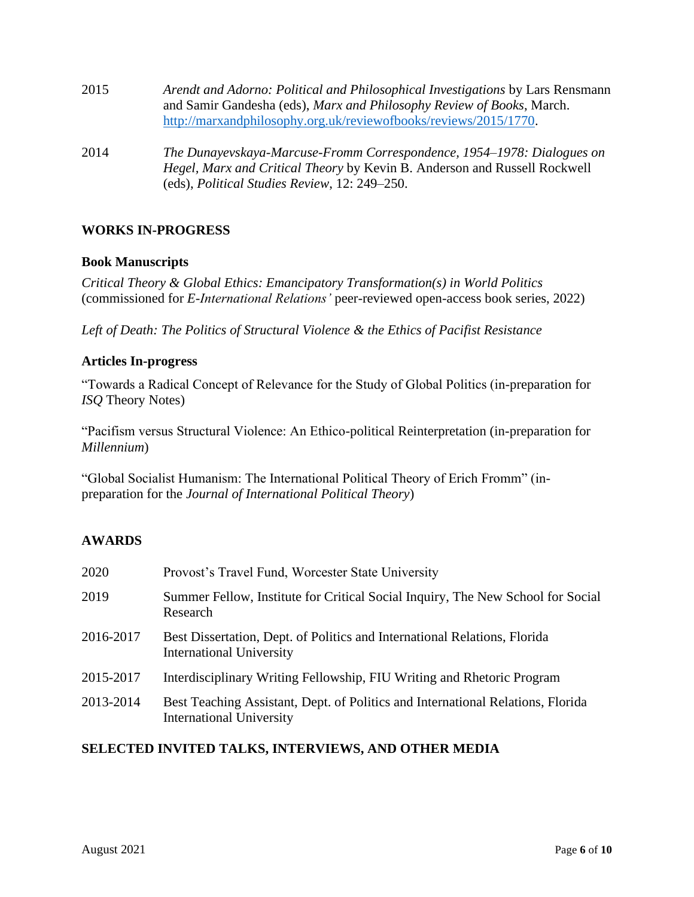| 2015 | Arendt and Adorno: Political and Philosophical Investigations by Lars Rensmann<br>and Samir Gandesha (eds), Marx and Philosophy Review of Books, March.<br>http://marxandphilosophy.org.uk/reviewofbooks/reviews/2015/1770. |
|------|-----------------------------------------------------------------------------------------------------------------------------------------------------------------------------------------------------------------------------|
| 2014 | The Dunayevskaya-Marcuse-Fromm Correspondence, 1954–1978: Dialogues on<br>Hegel, Marx and Critical Theory by Kevin B. Anderson and Russell Rockwell<br>(eds), Political Studies Review, 12: 249–250.                        |

# **WORKS IN-PROGRESS**

# **Book Manuscripts**

*Critical Theory & Global Ethics: Emancipatory Transformation(s) in World Politics*  (commissioned for *E-International Relations'* peer-reviewed open-access book series, 2022)

*Left of Death: The Politics of Structural Violence & the Ethics of Pacifist Resistance*

#### **Articles In-progress**

"Towards a Radical Concept of Relevance for the Study of Global Politics (in-preparation for *ISQ* Theory Notes)

"Pacifism versus Structural Violence: An Ethico-political Reinterpretation (in-preparation for *Millennium*)

"Global Socialist Humanism: The International Political Theory of Erich Fromm" (inpreparation for the *Journal of International Political Theory*)

# **AWARDS**

| 2020      | Provost's Travel Fund, Worcester State University                                                                  |
|-----------|--------------------------------------------------------------------------------------------------------------------|
| 2019      | Summer Fellow, Institute for Critical Social Inquiry, The New School for Social<br>Research                        |
| 2016-2017 | Best Dissertation, Dept. of Politics and International Relations, Florida<br><b>International University</b>       |
| 2015-2017 | Interdisciplinary Writing Fellowship, FIU Writing and Rhetoric Program                                             |
| 2013-2014 | Best Teaching Assistant, Dept. of Politics and International Relations, Florida<br><b>International University</b> |

# **SELECTED INVITED TALKS, INTERVIEWS, AND OTHER MEDIA**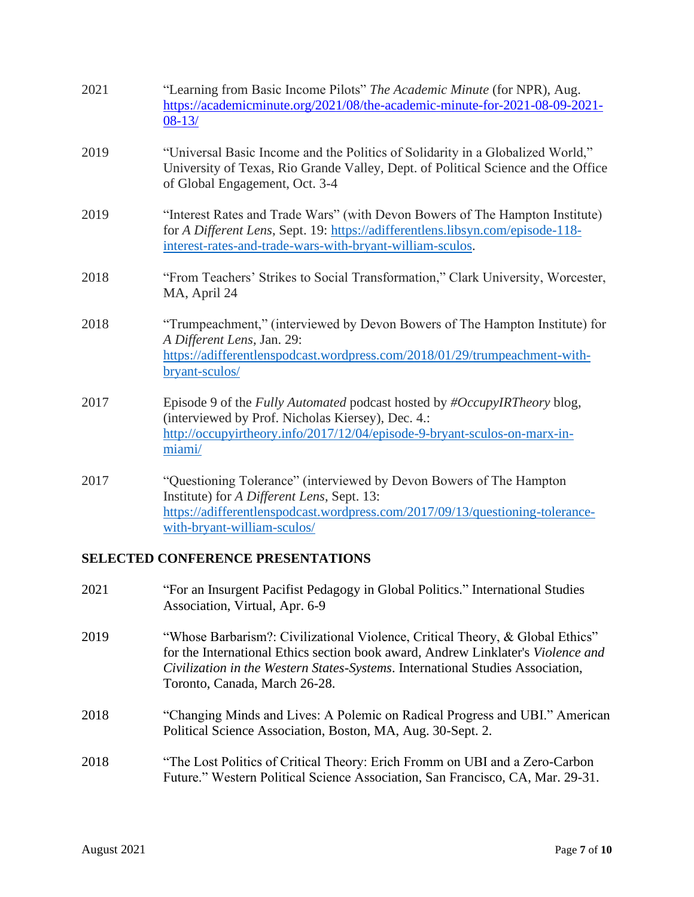| 2021 | "Learning from Basic Income Pilots" The Academic Minute (for NPR), Aug.<br>https://academicminute.org/2021/08/the-academic-minute-for-2021-08-09-2021-<br>$08-13/$                                                                |
|------|-----------------------------------------------------------------------------------------------------------------------------------------------------------------------------------------------------------------------------------|
| 2019 | "Universal Basic Income and the Politics of Solidarity in a Globalized World,"<br>University of Texas, Rio Grande Valley, Dept. of Political Science and the Office<br>of Global Engagement, Oct. 3-4                             |
| 2019 | "Interest Rates and Trade Wars" (with Devon Bowers of The Hampton Institute)<br>for A Different Lens, Sept. 19: https://adifferentlens.libsyn.com/episode-118-<br>interest-rates-and-trade-wars-with-bryant-william-sculos.       |
| 2018 | "From Teachers' Strikes to Social Transformation," Clark University, Worcester,<br>MA, April 24                                                                                                                                   |
| 2018 | "Trumpeachment," (interviewed by Devon Bowers of The Hampton Institute) for<br>A Different Lens, Jan. 29:<br>https://adifferentlenspodcast.wordpress.com/2018/01/29/trumpeachment-with-<br>bryant-sculos/                         |
| 2017 | Episode 9 of the Fully Automated podcast hosted by #OccupyIRTheory blog,<br>(interviewed by Prof. Nicholas Kiersey), Dec. 4.:<br>http://occupyirtheory.info/2017/12/04/episode-9-bryant-sculos-on-marx-in-<br>miami/              |
| 2017 | "Questioning Tolerance" (interviewed by Devon Bowers of The Hampton<br>Institute) for A Different Lens, Sept. 13:<br>https://adifferentlenspodcast.wordpress.com/2017/09/13/questioning-tolerance-<br>with-bryant-william-sculos/ |

# **SELECTED CONFERENCE PRESENTATIONS**

| 2021 | "For an Insurgent Pacifist Pedagogy in Global Politics." International Studies<br>Association, Virtual, Apr. 6-9                                                                                                                                                                     |
|------|--------------------------------------------------------------------------------------------------------------------------------------------------------------------------------------------------------------------------------------------------------------------------------------|
| 2019 | "Whose Barbarism?: Civilizational Violence, Critical Theory, & Global Ethics"<br>for the International Ethics section book award, Andrew Linklater's Violence and<br>Civilization in the Western States-Systems. International Studies Association,<br>Toronto, Canada, March 26-28. |
| 2018 | "Changing Minds and Lives: A Polemic on Radical Progress and UBI." American<br>Political Science Association, Boston, MA, Aug. 30-Sept. 2.                                                                                                                                           |
| 2018 | "The Lost Politics of Critical Theory: Erich Fromm on UBI and a Zero-Carbon<br>Future." Western Political Science Association, San Francisco, CA, Mar. 29-31.                                                                                                                        |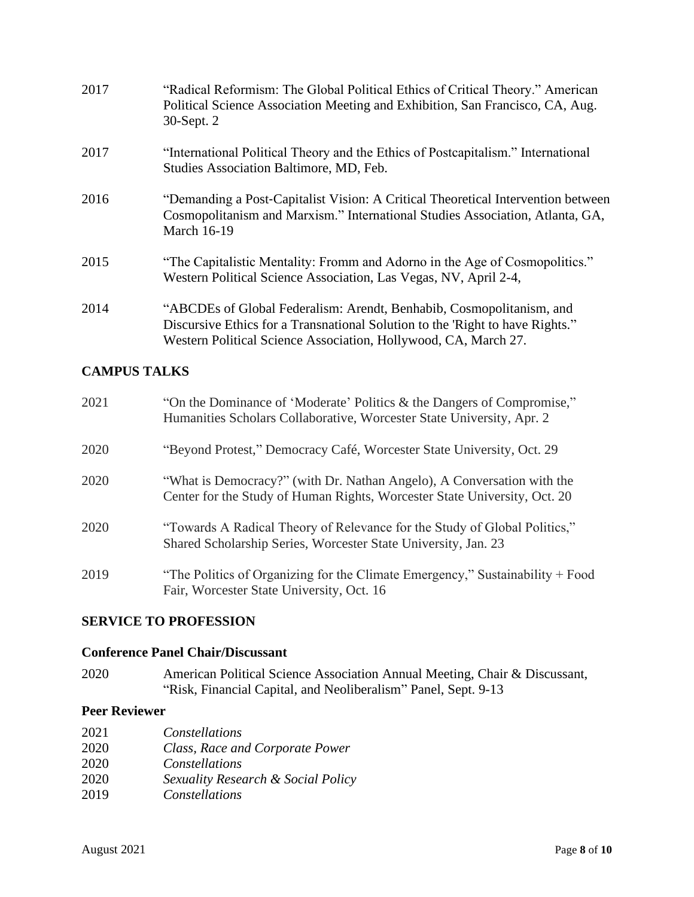| 2017 | "Radical Reformism: The Global Political Ethics of Critical Theory." American<br>Political Science Association Meeting and Exhibition, San Francisco, CA, Aug.<br>30-Sept. 2                                             |
|------|--------------------------------------------------------------------------------------------------------------------------------------------------------------------------------------------------------------------------|
| 2017 | "International Political Theory and the Ethics of Postcapitalism." International<br>Studies Association Baltimore, MD, Feb.                                                                                              |
| 2016 | "Demanding a Post-Capitalist Vision: A Critical Theoretical Intervention between<br>Cosmopolitanism and Marxism." International Studies Association, Atlanta, GA,<br><b>March 16-19</b>                                  |
| 2015 | "The Capitalistic Mentality: Fromm and Adorno in the Age of Cosmopolitics."<br>Western Political Science Association, Las Vegas, NV, April 2-4,                                                                          |
| 2014 | "ABCDEs of Global Federalism: Arendt, Benhabib, Cosmopolitanism, and<br>Discursive Ethics for a Transnational Solution to the 'Right to have Rights."<br>Western Political Science Association, Hollywood, CA, March 27. |

# **CAMPUS TALKS**

| 2021 | "On the Dominance of 'Moderate' Politics & the Dangers of Compromise,"<br>Humanities Scholars Collaborative, Worcester State University, Apr. 2     |
|------|-----------------------------------------------------------------------------------------------------------------------------------------------------|
| 2020 | "Beyond Protest," Democracy Café, Worcester State University, Oct. 29                                                                               |
| 2020 | "What is Democracy?" (with Dr. Nathan Angelo), A Conversation with the<br>Center for the Study of Human Rights, Worcester State University, Oct. 20 |
| 2020 | "Towards A Radical Theory of Relevance for the Study of Global Politics,"<br>Shared Scholarship Series, Worcester State University, Jan. 23         |
| 2019 | "The Politics of Organizing for the Climate Emergency," Sustainability $+$ Food<br>Fair, Worcester State University, Oct. 16                        |

# **SERVICE TO PROFESSION**

# **Conference Panel Chair/Discussant**

2020 American Political Science Association Annual Meeting, Chair & Discussant, "Risk, Financial Capital, and Neoliberalism" Panel, Sept. 9-13

# **Peer Reviewer**

| Constellations                     |
|------------------------------------|
| Class, Race and Corporate Power    |
| Constellations                     |
| Sexuality Research & Social Policy |
| Constellations                     |
|                                    |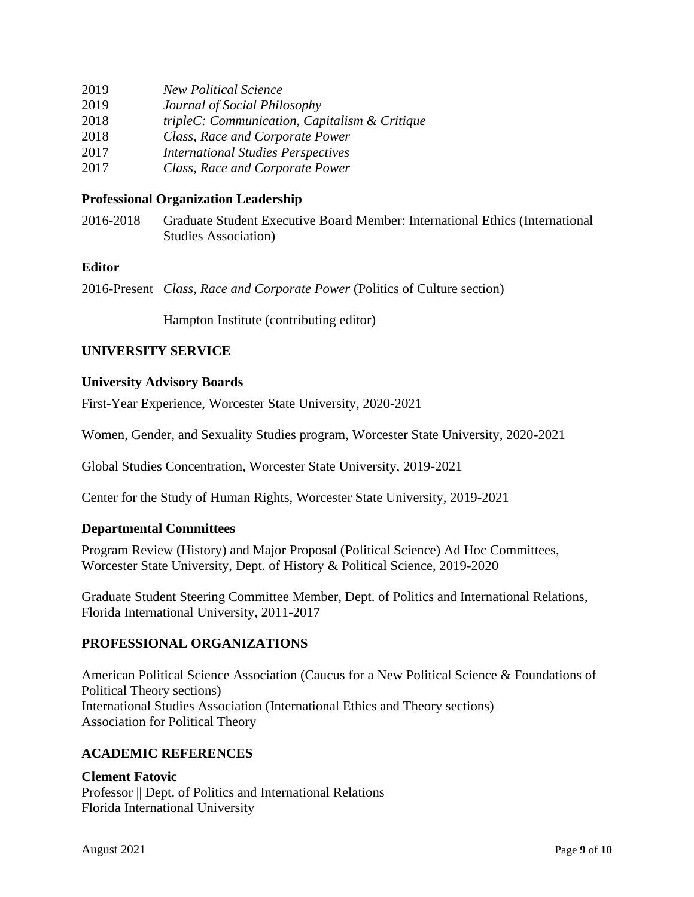| 2019 | <b>New Political Science</b>                  |
|------|-----------------------------------------------|
| 2019 | Journal of Social Philosophy                  |
| 2018 | tripleC: Communication, Capitalism & Critique |
| 2018 | Class, Race and Corporate Power               |
| 2017 | <b>International Studies Perspectives</b>     |
| 2017 | Class, Race and Corporate Power               |

# **Professional Organization Leadership**

2016-2018 Graduate Student Executive Board Member: International Ethics (International Studies Association)

# **Editor**

2016-Present *Class, Race and Corporate Power* (Politics of Culture section)

Hampton Institute (contributing editor)

# **UNIVERSITY SERVICE**

# **University Advisory Boards**

First-Year Experience, Worcester State University, 2020-2021

Women, Gender, and Sexuality Studies program, Worcester State University, 2020-2021

Global Studies Concentration, Worcester State University, 2019-2021

Center for the Study of Human Rights, Worcester State University, 2019-2021

# **Departmental Committees**

Program Review (History) and Major Proposal (Political Science) Ad Hoc Committees, Worcester State University, Dept. of History & Political Science, 2019-2020

Graduate Student Steering Committee Member, Dept. of Politics and International Relations, Florida International University, 2011-2017

# **PROFESSIONAL ORGANIZATIONS**

American Political Science Association (Caucus for a New Political Science & Foundations of Political Theory sections) International Studies Association (International Ethics and Theory sections) Association for Political Theory

# **ACADEMIC REFERENCES**

# **Clement Fatovic**

Professor || Dept. of Politics and International Relations Florida International University